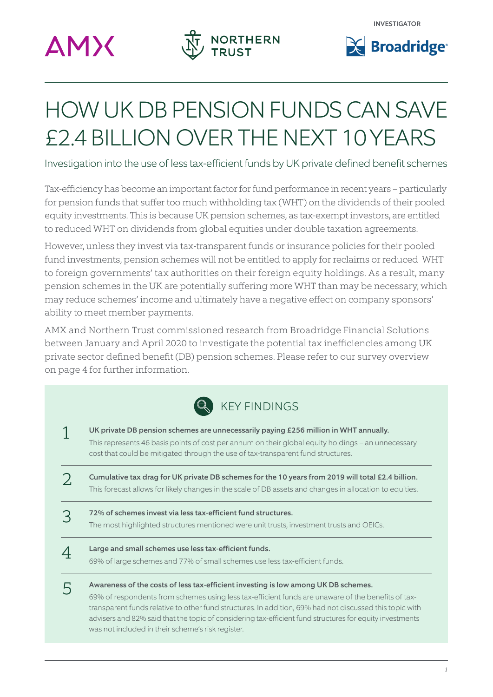





# HOW UK DB PENSION FUNDS CAN SAVE £2.4 BILLION OVER THE NEXT 10 YEARS

Investigation into the use of less tax-efficient funds by UK private defined benefit schemes

Tax-efficiency has become an important factor for fund performance in recent years – particularly for pension funds that suffer too much withholding tax (WHT) on the dividends of their pooled equity investments. This is because UK pension schemes, as tax-exempt investors, are entitled to reduced WHT on dividends from global equities under double taxation agreements.

However, unless they invest via tax-transparent funds or insurance policies for their pooled fund investments, pension schemes will not be entitled to apply for reclaims or reduced WHT to foreign governments' tax authorities on their foreign equity holdings. As a result, many pension schemes in the UK are potentially suffering more WHT than may be necessary, which may reduce schemes' income and ultimately have a negative effect on company sponsors' ability to meet member payments.

AMX and Northern Trust commissioned research from Broadridge Financial Solutions between January and April 2020 to investigate the potential tax inefficiencies among UK private sector defined benefit (DB) pension schemes. Please refer to our survey overview on page 4 for further information.

| R KEY FINDINGS |  |
|----------------|--|
|----------------|--|

| UK private DB pension schemes are unnecessarily paying £256 million in WHT annually.<br>This represents 46 basis points of cost per annum on their global equity holdings – an unnecessary<br>cost that could be mitigated through the use of tax-transparent fund structures.                                                                                                                                  |  |
|-----------------------------------------------------------------------------------------------------------------------------------------------------------------------------------------------------------------------------------------------------------------------------------------------------------------------------------------------------------------------------------------------------------------|--|
| Cumulative tax drag for UK private DB schemes for the 10 years from 2019 will total £2.4 billion.<br>This forecast allows for likely changes in the scale of DB assets and changes in allocation to equities.                                                                                                                                                                                                   |  |
| 72% of schemes invest via less tax-efficient fund structures.<br>The most highlighted structures mentioned were unit trusts, investment trusts and OEICs.                                                                                                                                                                                                                                                       |  |
| Large and small schemes use less tax-efficient funds.<br>69% of large schemes and 77% of small schemes use less tax-efficient funds.                                                                                                                                                                                                                                                                            |  |
| Awareness of the costs of less tax-efficient investing is low among UK DB schemes.<br>69% of respondents from schemes using less tax-efficient funds are unaware of the benefits of tax-<br>transparent funds relative to other fund structures. In addition, 69% had not discussed this topic with<br>advisers and 82% said that the topic of considering tax-efficient fund structures for equity investments |  |

was not included in their scheme's risk register.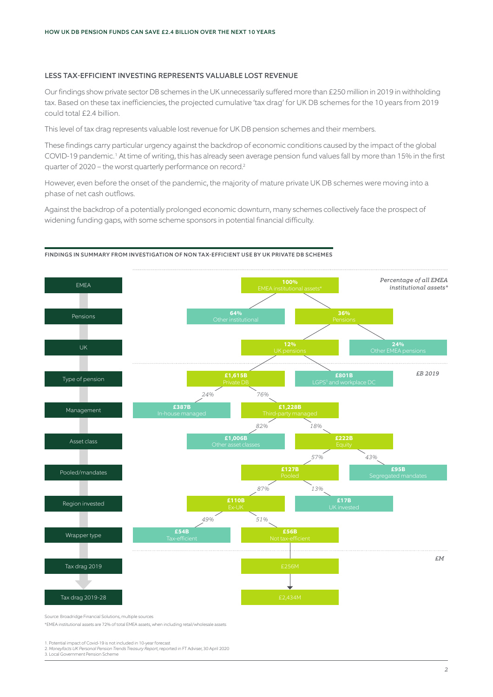## LESS TAX-EFFICIENT INVESTING REPRESENTS VALUABLE LOST REVENUE

Our findings show private sector DB schemes in the UK unnecessarily suffered more than £250 million in 2019 in withholding tax. Based on these tax inefficiencies, the projected cumulative 'tax drag' for UK DB schemes for the 10 years from 2019 could total £2.4 billion.

This level of tax drag represents valuable lost revenue for UK DB pension schemes and their members.

These findings carry particular urgency against the backdrop of economic conditions caused by the impact of the global COVID-19 pandemic.<sup>1</sup> At time of writing, this has already seen average pension fund values fall by more than 15% in the first quarter of 2020 – the worst quarterly performance on record.2

However, even before the onset of the pandemic, the majority of mature private UK DB schemes were moving into a phase of net cash outflows.

Against the backdrop of a potentially prolonged economic downturn, many schemes collectively face the prospect of widening funding gaps, with some scheme sponsors in potential financial difficulty.



#### FINDINGS IN SUMMARY FROM INVESTIGATION OF NON TAX-EFFICIENT USE BY UK PRIVATE DB SCHEMES

Source: Broadridge Financial Solutions, multiple sources

\*EMEA institutional assets are 72% of total EMEA assets, when including retail/wholesale assets

1. Potential impact of Covid-19 is not included in 10-year forecast 2. *Moneyfacts UK Personal Pension Trends Treasury Report*, reported in FT Adviser, 30 April 2020 3. Local Government Pension Scheme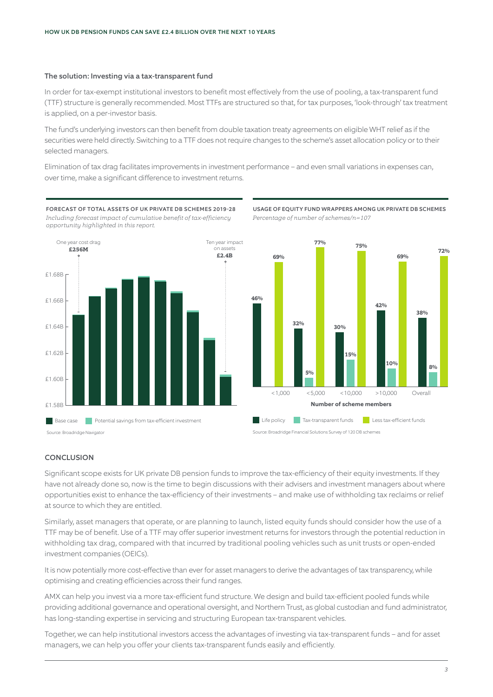#### The solution: Investing via a tax-transparent fund

In order for tax-exempt institutional investors to benefit most effectively from the use of pooling, a tax-transparent fund (TTF) structure is generally recommended. Most TTFs are structured so that, for tax purposes, 'look-through' tax treatment is applied, on a per-investor basis.

The fund's underlying investors can then benefit from double taxation treaty agreements on eligible WHT relief as if the securities were held directly. Switching to a TTF does not require changes to the scheme's asset allocation policy or to their selected managers.

Elimination of tax drag facilitates improvements in investment performance – and even small variations in expenses can, over time, make a significant difference to investment returns.



FORECAST OF TOTAL ASSETS OF UK PRIVATE DB SCHEMES 2019-28 *Including forecast impact of cumulative benefit of tax-efficiency opportunity highlighted in this report.*





Source: Broadridge Financial Solutions Survey of 120 DB schemes

## **CONCLUSION**

Significant scope exists for UK private DB pension funds to improve the tax-efficiency of their equity investments. If they have not already done so, now is the time to begin discussions with their advisers and investment managers about where opportunities exist to enhance the tax-efficiency of their investments – and make use of withholding tax reclaims or relief at source to which they are entitled.

Similarly, asset managers that operate, or are planning to launch, listed equity funds should consider how the use of a TTF may be of benefit. Use of a TTF may offer superior investment returns for investors through the potential reduction in withholding tax drag, compared with that incurred by traditional pooling vehicles such as unit trusts or open-ended investment companies (OEICs).

It is now potentially more cost-effective than ever for asset managers to derive the advantages of tax transparency, while optimising and creating efficiencies across their fund ranges.

AMX can help you invest via a more tax-efficient fund structure. We design and build tax-efficient pooled funds while providing additional governance and operational oversight, and Northern Trust, as global custodian and fund administrator, has long-standing expertise in servicing and structuring European tax-transparent vehicles.

Together, we can help institutional investors access the advantages of investing via tax-transparent funds – and for asset managers, we can help you offer your clients tax-transparent funds easily and efficiently.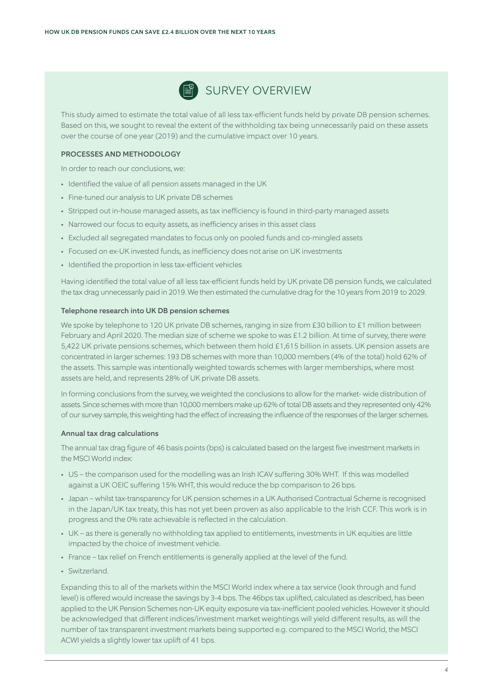

This study aimed to estimate the total value of all less tax-efficient funds held by private DB pension schemes. Based on this, we sought to reveal the extent of the withholding tax being unnecessarily paid on these assets over the course of one year (2019) and the cumulative impact over 10 years.

## PROCESSES AND METHODOLOGY

In order to reach our conclusions, we:

- Identified the value of all pension assets managed in the UK
- Fine-tuned our analysis to UK private DB schemes
- Stripped out in-house managed assets, as tax inefficiency is found in third-party managed assets
- Narrowed our focus to equity assets, as inefficiency arises in this asset class
- Excluded all segregated mandates to focus only on pooled funds and co-mingled assets
- Focused on ex-UK invested funds, as inefficiency does not arise on UK investments
- Identified the proportion in less tax-efficient vehicles

Having identified the total value of all less tax-efficient funds held by UK private DB pension funds, we calculated the tax drag unnecessarily paid in 2019. We then estimated the cumulative drag for the 10 years from 2019 to 2029.

#### Telephone research into UK DB pension schemes

We spoke by telephone to 120 UK private DB schemes, ranging in size from £30 billion to £1 million between February and April 2020. The median size of scheme we spoke to was £1.2 billion. At time of survey, there were 5,422 UK private pensions schemes, which between them hold £1,615 billion in assets. UK pension assets are concentrated in larger schemes: 193 DB schemes with more than 10,000 members (4% of the total) hold 62% of the assets. This sample was intentionally weighted towards schemes with larger memberships, where most assets are held, and represents 28% of UK private DB assets.

In forming conclusions from the survey, we weighted the conclusions to allow for the market- wide distribution of assets. Since schemes with more than 10,000 members make up 62% of total DB assets and they represented only 42% of our survey sample, this weighting had the effect of increasing the influence of the responses of the larger schemes.

## Annual tax drag calculations

The annual tax drag figure of 46 basis points (bps) is calculated based on the largest five investment markets in the MSCI World index:

- US the comparison used for the modelling was an Irish ICAV suffering 30% WHT. If this was modelled against a UK OEIC suffering 15% WHT, this would reduce the bp comparison to 26 bps.
- Japan whilst tax-transparency for UK pension schemes in a UK Authorised Contractual Scheme is recognised in the Japan/UK tax treaty, this has not yet been proven as also applicable to the Irish CCF. This work is in progress and the 0% rate achievable is reflected in the calculation.
- UK as there is generally no withholding tax applied to entitlements, investments in UK equities are little impacted by the choice of investment vehicle.
- France tax relief on French entitlements is generally applied at the level of the fund.
- Switzerland.

Expanding this to all of the markets within the MSCI World index where a tax service (look through and fund level) is offered would increase the savings by 3-4 bps. The 46bps tax uplifted, calculated as described, has been applied to the UK Pension Schemes non-UK equity exposure via tax-inefficient pooled vehicles. However it should be acknowledged that different indices/investment market weightings will yield different results, as will the number of tax transparent investment markets being supported e.g. compared to the MSCI World, the MSCI ACWI yields a slightly lower tax uplift of 41 bps.